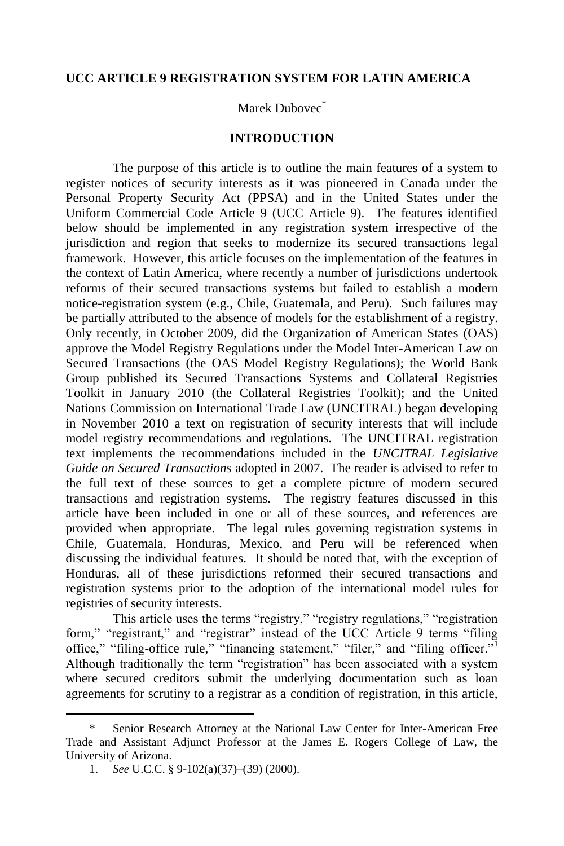# **UCC ARTICLE 9 REGISTRATION SYSTEM FOR LATIN AMERICA**

# Marek Dubovec<sup>\*</sup>

### **INTRODUCTION**

The purpose of this article is to outline the main features of a system to register notices of security interests as it was pioneered in Canada under the Personal Property Security Act (PPSA) and in the United States under the Uniform Commercial Code Article 9 (UCC Article 9). The features identified below should be implemented in any registration system irrespective of the jurisdiction and region that seeks to modernize its secured transactions legal framework. However, this article focuses on the implementation of the features in the context of Latin America, where recently a number of jurisdictions undertook reforms of their secured transactions systems but failed to establish a modern notice-registration system (e.g., Chile, Guatemala, and Peru). Such failures may be partially attributed to the absence of models for the establishment of a registry. Only recently, in October 2009, did the Organization of American States (OAS) approve the Model Registry Regulations under the Model Inter-American Law on Secured Transactions (the OAS Model Registry Regulations); the World Bank Group published its Secured Transactions Systems and Collateral Registries Toolkit in January 2010 (the Collateral Registries Toolkit); and the United Nations Commission on International Trade Law (UNCITRAL) began developing in November 2010 a text on registration of security interests that will include model registry recommendations and regulations. The UNCITRAL registration text implements the recommendations included in the *UNCITRAL Legislative Guide on Secured Transactions* adopted in 2007. The reader is advised to refer to the full text of these sources to get a complete picture of modern secured transactions and registration systems. The registry features discussed in this article have been included in one or all of these sources, and references are provided when appropriate. The legal rules governing registration systems in Chile, Guatemala, Honduras, Mexico, and Peru will be referenced when discussing the individual features. It should be noted that, with the exception of Honduras, all of these jurisdictions reformed their secured transactions and registration systems prior to the adoption of the international model rules for registries of security interests.

This article uses the terms "registry," "registry regulations," "registration form," "registrant," and "registrar" instead of the UCC Article 9 terms "filing office," "filing-office rule," "financing statement," "filer," and "filing officer."<sup>1</sup> Although traditionally the term "registration" has been associated with a system where secured creditors submit the underlying documentation such as loan agreements for scrutiny to a registrar as a condition of registration, in this article,

<sup>\*</sup> Senior Research Attorney at the National Law Center for Inter-American Free Trade and Assistant Adjunct Professor at the James E. Rogers College of Law, the University of Arizona.

<sup>1.</sup> *See* U.C.C. § 9-102(a)(37)–(39) (2000).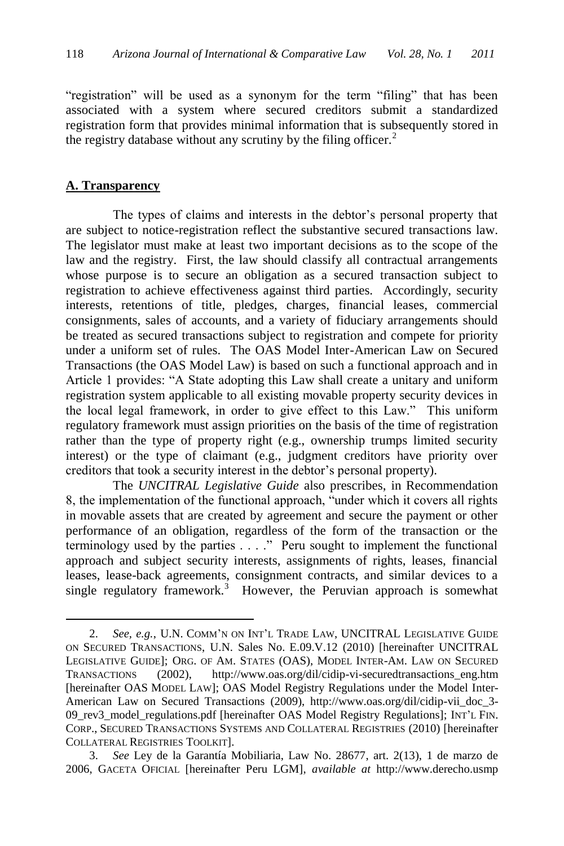<span id="page-1-0"></span>"registration" will be used as a synonym for the term "filing" that has been associated with a system where secured creditors submit a standardized registration form that provides minimal information that is subsequently stored in the registry database without any scrutiny by the filing officer.<sup>2</sup>

#### **A. Transparency**

 $\overline{a}$ 

The types of claims and interests in the debtor's personal property that are subject to notice-registration reflect the substantive secured transactions law. The legislator must make at least two important decisions as to the scope of the law and the registry. First, the law should classify all contractual arrangements whose purpose is to secure an obligation as a secured transaction subject to registration to achieve effectiveness against third parties. Accordingly, security interests, retentions of title, pledges, charges, financial leases, commercial consignments, sales of accounts, and a variety of fiduciary arrangements should be treated as secured transactions subject to registration and compete for priority under a uniform set of rules. The OAS Model Inter-American Law on Secured Transactions (the OAS Model Law) is based on such a functional approach and in Article 1 provides: "A State adopting this Law shall create a unitary and uniform registration system applicable to all existing movable property security devices in the local legal framework, in order to give effect to this Law.‖ This uniform regulatory framework must assign priorities on the basis of the time of registration rather than the type of property right (e.g., ownership trumps limited security interest) or the type of claimant (e.g., judgment creditors have priority over creditors that took a security interest in the debtor's personal property).

The *UNCITRAL Legislative Guide* also prescribes, in Recommendation 8, the implementation of the functional approach, "under which it covers all rights in movable assets that are created by agreement and secure the payment or other performance of an obligation, regardless of the form of the transaction or the terminology used by the parties  $\dots$ . " Peru sought to implement the functional approach and subject security interests, assignments of rights, leases, financial leases, lease-back agreements, consignment contracts, and similar devices to a single regulatory framework.<sup>3</sup> However, the Peruvian approach is somewhat

<sup>2.</sup> *See, e.g.*, U.N. COMM'N ON INT'L TRADE LAW, UNCITRAL LEGISLATIVE GUIDE ON SECURED TRANSACTIONS, U.N. Sales No. E.09.V.12 (2010) [hereinafter UNCITRAL LEGISLATIVE GUIDE]; ORG. OF AM. STATES (OAS), MODEL INTER-AM. LAW ON SECURED TRANSACTIONS (2002), http://www.oas.org/dil/cidip-vi-securedtransactions\_eng.htm [hereinafter OAS MODEL LAW]; OAS Model Registry Regulations under the Model Inter-American Law on Secured Transactions (2009), http://www.oas.org/dil/cidip-vii\_doc\_3- 09\_rev3\_model\_regulations.pdf [hereinafter OAS Model Registry Regulations]; INT'L FIN. CORP., SECURED TRANSACTIONS SYSTEMS AND COLLATERAL REGISTRIES (2010) [hereinafter COLLATERAL REGISTRIES TOOLKIT].

<sup>3.</sup> *See* Ley de la Garantía Mobiliaria, Law No. 28677, art. 2(13), 1 de marzo de 2006, GACETA OFICIAL [hereinafter Peru LGM], *available at* http://www.derecho.usmp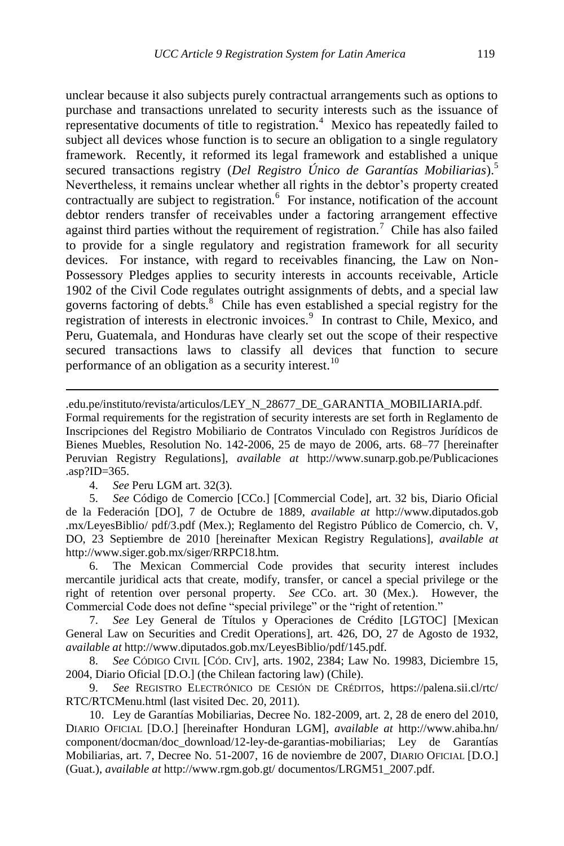unclear because it also subjects purely contractual arrangements such as options to purchase and transactions unrelated to security interests such as the issuance of representative documents of title to registration.<sup>4</sup> Mexico has repeatedly failed to subject all devices whose function is to secure an obligation to a single regulatory framework. Recently, it reformed its legal framework and established a unique secured transactions registry (*Del Registro Único de Garantías Mobiliarias*).<sup>5</sup> Nevertheless, it remains unclear whether all rights in the debtor's property created contractually are subject to registration.<sup>6</sup> For instance, notification of the account debtor renders transfer of receivables under a factoring arrangement effective against third parties without the requirement of registration.<sup>7</sup> Chile has also failed to provide for a single regulatory and registration framework for all security devices. For instance, with regard to receivables financing, the Law on Non-Possessory Pledges applies to security interests in accounts receivable, Article 1902 of the Civil Code regulates outright assignments of debts, and a special law governs factoring of debts.<sup>8</sup> Chile has even established a special registry for the registration of interests in electronic invoices.<sup>9</sup> In contrast to Chile, Mexico, and Peru, Guatemala, and Honduras have clearly set out the scope of their respective secured transactions laws to classify all devices that function to secure performance of an obligation as a security interest.<sup>10</sup>

.edu.pe/instituto/revista/articulos/LEY\_N\_28677\_DE\_GARANTIA\_MOBILIARIA.pdf. Formal requirements for the registration of security interests are set forth in Reglamento de Inscripciones del Registro Mobiliario de Contratos Vinculado con Registros Jurídicos de Bienes Muebles, Resolution No. 142-2006, 25 de mayo de 2006, arts. 68–77 [hereinafter Peruvian Registry Regulations], *available at* http://www.sunarp.gob.pe/Publicaciones .asp?ID=365.

4. *See* Peru LGM art. 32(3).

 $\overline{a}$ 

5. *See* Código de Comercio [CCo.] [Commercial Code], art. 32 bis, Diario Oficial de la Federación [DO], 7 de Octubre de 1889, *available at* http://www.diputados.gob .mx/LeyesBiblio/ pdf/3.pdf (Mex.); Reglamento del Registro Público de Comercio, ch. V, DO, 23 Septiembre de 2010 [hereinafter Mexican Registry Regulations], *available at*  http://www.siger.gob.mx/siger/RRPC18.htm.

6. The Mexican Commercial Code provides that security interest includes mercantile juridical acts that create, modify, transfer, or cancel a special privilege or the right of retention over personal property. *See* CCo. art. 30 (Mex.). However, the Commercial Code does not define "special privilege" or the "right of retention."

7. *See* Ley General de Títulos y Operaciones de Crédito [LGTOC] [Mexican General Law on Securities and Credit Operations], art. 426, DO, 27 de Agosto de 1932, *available at* http://www.diputados.gob.mx/LeyesBiblio/pdf/145.pdf.

8. *See* CÓDIGO CIVIL [CÓD. CIV], arts. 1902, 2384; Law No. 19983, Diciembre 15, 2004, Diario Oficial [D.O.] (the Chilean factoring law) (Chile).

9. *See* REGISTRO ELECTRÓNICO DE CESIÓN DE CRÉDITOS, https://palena.sii.cl/rtc/ RTC/RTCMenu.html (last visited Dec. 20, 2011).

10. Ley de Garantías Mobiliarias, Decree No. 182-2009, art. 2, 28 de enero del 2010, DIARIO OFICIAL [D.O.] [hereinafter Honduran LGM], *available at* http://www.ahiba.hn/ component/docman/doc\_download/12-ley-de-garantias-mobiliarias; Ley de Garantías Mobiliarias, art. 7, Decree No. 51-2007, 16 de noviembre de 2007, DIARIO OFICIAL [D.O.] (Guat.), *available at* http://www.rgm.gob.gt/ documentos/LRGM51\_2007.pdf.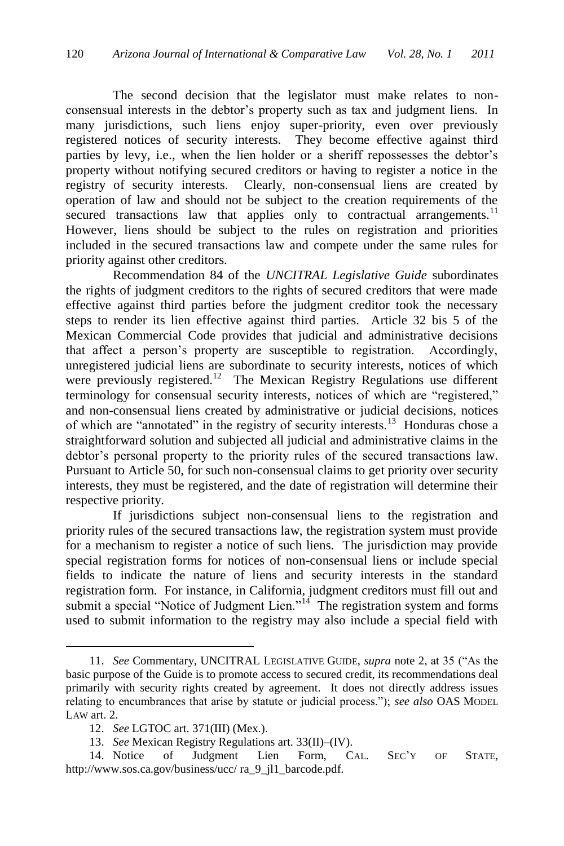The second decision that the legislator must make relates to nonconsensual interests in the debtor's property such as tax and judgment liens. In many jurisdictions, such liens enjoy super-priority, even over previously registered notices of security interests. They become effective against third parties by levy, i.e., when the lien holder or a sheriff repossesses the debtor's property without notifying secured creditors or having to register a notice in the registry of security interests. Clearly, non-consensual liens are created by operation of law and should not be subject to the creation requirements of the secured transactions law that applies only to contractual arrangements.<sup>11</sup> However, liens should be subject to the rules on registration and priorities included in the secured transactions law and compete under the same rules for priority against other creditors.

Recommendation 84 of the *UNCITRAL Legislative Guide* subordinates the rights of judgment creditors to the rights of secured creditors that were made effective against third parties before the judgment creditor took the necessary steps to render its lien effective against third parties. Article 32 bis 5 of the Mexican Commercial Code provides that judicial and administrative decisions that affect a person's property are susceptible to registration. Accordingly, unregistered judicial liens are subordinate to security interests, notices of which were previously registered.<sup>12</sup> The Mexican Registry Regulations use different terminology for consensual security interests, notices of which are "registered," and non-consensual liens created by administrative or judicial decisions, notices of which are "annotated" in the registry of security interests.<sup>13</sup> Honduras chose a straightforward solution and subjected all judicial and administrative claims in the debtor's personal property to the priority rules of the secured transactions law. Pursuant to Article 50, for such non-consensual claims to get priority over security interests, they must be registered, and the date of registration will determine their respective priority.

If jurisdictions subject non-consensual liens to the registration and priority rules of the secured transactions law, the registration system must provide for a mechanism to register a notice of such liens. The jurisdiction may provide special registration forms for notices of non-consensual liens or include special fields to indicate the nature of liens and security interests in the standard registration form. For instance, in California, judgment creditors must fill out and submit a special "Notice of Judgment Lien."<sup>14</sup> The registration system and forms used to submit information to the registry may also include a special field with

<sup>11.</sup> See Commentary, UNCITRAL LEGISLATIVE GUIDE, *supra* note [2,](#page-1-0) at 35 ("As the basic purpose of the Guide is to promote access to secured credit, its recommendations deal primarily with security rights created by agreement. It does not directly address issues relating to encumbrances that arise by statute or judicial process.‖); *see also* OAS MODEL LAW art. 2.

<sup>12.</sup> *See* LGTOC art. 371(III) (Mex.).

<sup>13.</sup> *See* Mexican Registry Regulations art. 33(II)–(IV).

<sup>14.</sup> Notice of Judgment Lien Form, CAL. SEC'Y OF STATE, http://www.sos.ca.gov/business/ucc/ ra\_9\_jl1\_barcode.pdf.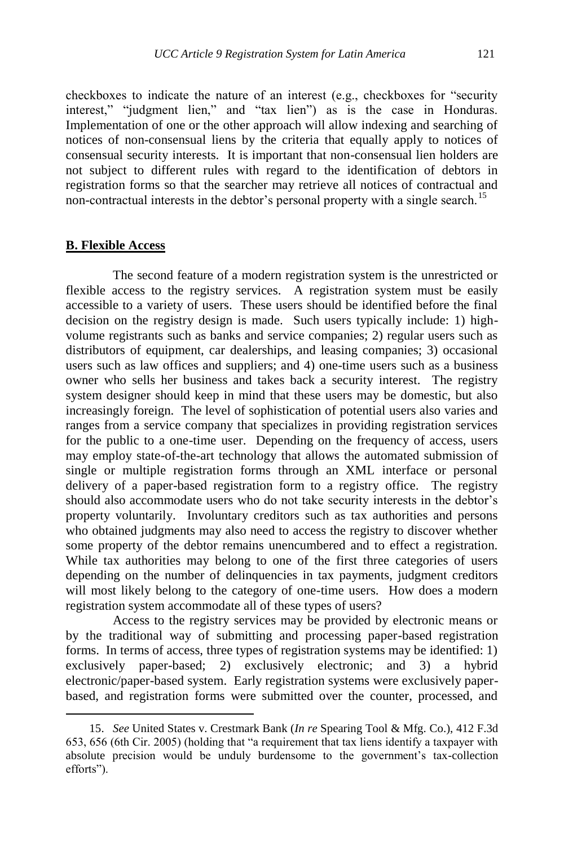checkboxes to indicate the nature of an interest  $(e.g., checkboxes for "security"$ interest," "judgment lien," and "tax lien") as is the case in Honduras. Implementation of one or the other approach will allow indexing and searching of notices of non-consensual liens by the criteria that equally apply to notices of consensual security interests. It is important that non-consensual lien holders are not subject to different rules with regard to the identification of debtors in registration forms so that the searcher may retrieve all notices of contractual and non-contractual interests in the debtor's personal property with a single search.<sup>15</sup>

### **B. Flexible Access**

 $\overline{a}$ 

The second feature of a modern registration system is the unrestricted or flexible access to the registry services. A registration system must be easily accessible to a variety of users. These users should be identified before the final decision on the registry design is made. Such users typically include: 1) highvolume registrants such as banks and service companies; 2) regular users such as distributors of equipment, car dealerships, and leasing companies; 3) occasional users such as law offices and suppliers; and 4) one-time users such as a business owner who sells her business and takes back a security interest. The registry system designer should keep in mind that these users may be domestic, but also increasingly foreign. The level of sophistication of potential users also varies and ranges from a service company that specializes in providing registration services for the public to a one-time user. Depending on the frequency of access, users may employ state-of-the-art technology that allows the automated submission of single or multiple registration forms through an XML interface or personal delivery of a paper-based registration form to a registry office. The registry should also accommodate users who do not take security interests in the debtor's property voluntarily. Involuntary creditors such as tax authorities and persons who obtained judgments may also need to access the registry to discover whether some property of the debtor remains unencumbered and to effect a registration. While tax authorities may belong to one of the first three categories of users depending on the number of delinquencies in tax payments, judgment creditors will most likely belong to the category of one-time users. How does a modern registration system accommodate all of these types of users?

Access to the registry services may be provided by electronic means or by the traditional way of submitting and processing paper-based registration forms. In terms of access, three types of registration systems may be identified: 1) exclusively paper-based; 2) exclusively electronic; and 3) a hybrid electronic/paper-based system. Early registration systems were exclusively paperbased, and registration forms were submitted over the counter, processed, and

<sup>15.</sup> *See* United States v. Crestmark Bank (*In re* Spearing Tool & Mfg. Co.), 412 F.3d 653, 656 (6th Cir. 2005) (holding that "a requirement that tax liens identify a taxpayer with absolute precision would be unduly burdensome to the government's tax-collection efforts").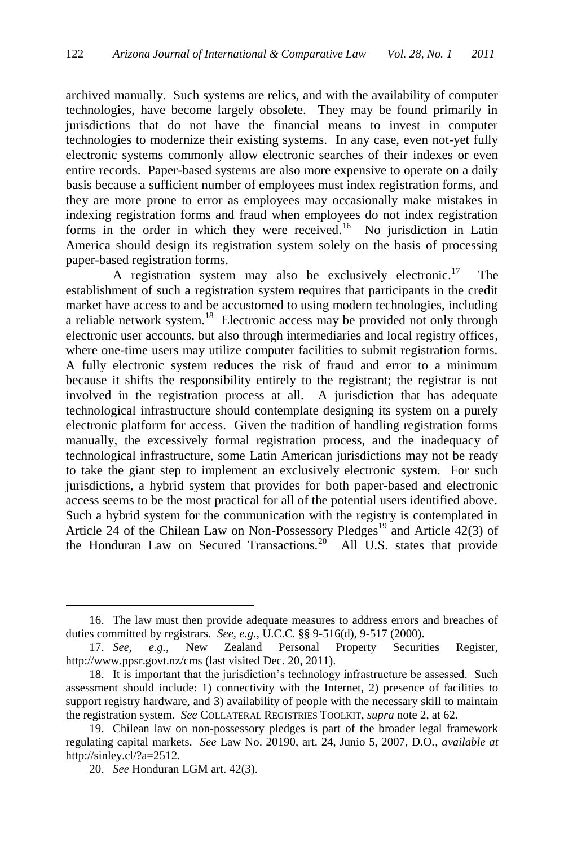archived manually. Such systems are relics, and with the availability of computer technologies, have become largely obsolete. They may be found primarily in jurisdictions that do not have the financial means to invest in computer technologies to modernize their existing systems. In any case, even not-yet fully electronic systems commonly allow electronic searches of their indexes or even entire records. Paper-based systems are also more expensive to operate on a daily basis because a sufficient number of employees must index registration forms, and they are more prone to error as employees may occasionally make mistakes in indexing registration forms and fraud when employees do not index registration forms in the order in which they were received.<sup>16</sup> No jurisdiction in Latin America should design its registration system solely on the basis of processing paper-based registration forms.

A registration system may also be exclusively electronic.<sup>17</sup> The establishment of such a registration system requires that participants in the credit market have access to and be accustomed to using modern technologies, including a reliable network system.<sup>18</sup> Electronic access may be provided not only through electronic user accounts, but also through intermediaries and local registry offices, where one-time users may utilize computer facilities to submit registration forms. A fully electronic system reduces the risk of fraud and error to a minimum because it shifts the responsibility entirely to the registrant; the registrar is not involved in the registration process at all. A jurisdiction that has adequate technological infrastructure should contemplate designing its system on a purely electronic platform for access. Given the tradition of handling registration forms manually, the excessively formal registration process, and the inadequacy of technological infrastructure, some Latin American jurisdictions may not be ready to take the giant step to implement an exclusively electronic system. For such jurisdictions, a hybrid system that provides for both paper-based and electronic access seems to be the most practical for all of the potential users identified above. Such a hybrid system for the communication with the registry is contemplated in Article 24 of the Chilean Law on Non-Possessory Pledges<sup>19</sup> and Article 42(3) of the Honduran Law on Secured Transactions.<sup>20</sup> All U.S. states that provide

<sup>16.</sup> The law must then provide adequate measures to address errors and breaches of duties committed by registrars. *See, e.g.*, U.C.C. §§ 9-516(d), 9-517 (2000).

<sup>17.</sup> *See, e.g.*, New Zealand Personal Property Securities Register, http://www.ppsr.govt.nz/cms (last visited Dec. 20, 2011).

<sup>18.</sup> It is important that the jurisdiction's technology infrastructure be assessed. Such assessment should include: 1) connectivity with the Internet, 2) presence of facilities to support registry hardware, and 3) availability of people with the necessary skill to maintain the registration system. *See* COLLATERAL REGISTRIES TOOLKIT, *supra* note 2, at 62.

<sup>19.</sup> Chilean law on non-possessory pledges is part of the broader legal framework regulating capital markets. *See* Law No. 20190, art. 24, Junio 5, 2007, D.O., *available at* http://sinley.cl/?a=2512.

<sup>20.</sup> *See* Honduran LGM art. 42(3).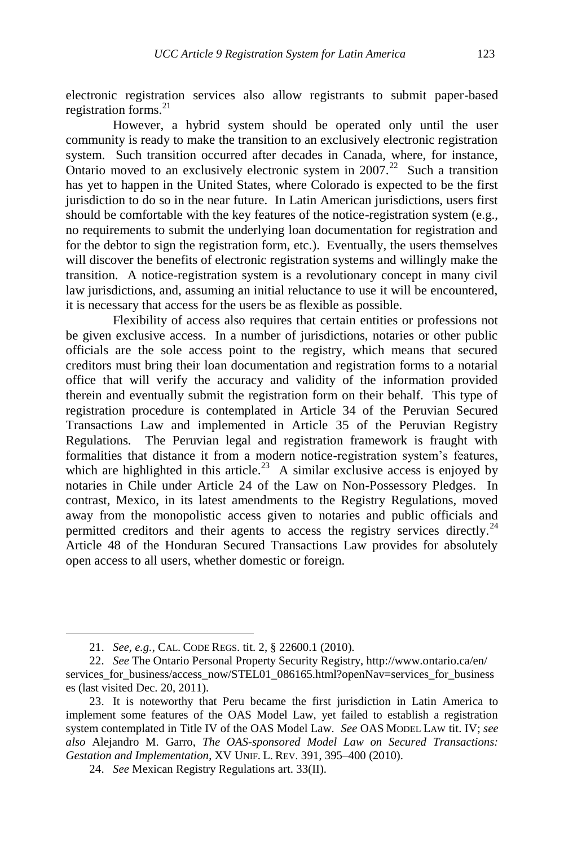electronic registration services also allow registrants to submit paper-based registration forms. $^{21}$ 

However, a hybrid system should be operated only until the user community is ready to make the transition to an exclusively electronic registration system. Such transition occurred after decades in Canada, where, for instance, Ontario moved to an exclusively electronic system in  $2007<sup>22</sup>$  Such a transition has yet to happen in the United States, where Colorado is expected to be the first jurisdiction to do so in the near future. In Latin American jurisdictions, users first should be comfortable with the key features of the notice-registration system (e.g., no requirements to submit the underlying loan documentation for registration and for the debtor to sign the registration form, etc.). Eventually, the users themselves will discover the benefits of electronic registration systems and willingly make the transition. A notice-registration system is a revolutionary concept in many civil law jurisdictions, and, assuming an initial reluctance to use it will be encountered, it is necessary that access for the users be as flexible as possible.

Flexibility of access also requires that certain entities or professions not be given exclusive access. In a number of jurisdictions, notaries or other public officials are the sole access point to the registry, which means that secured creditors must bring their loan documentation and registration forms to a notarial office that will verify the accuracy and validity of the information provided therein and eventually submit the registration form on their behalf. This type of registration procedure is contemplated in Article 34 of the Peruvian Secured Transactions Law and implemented in Article 35 of the Peruvian Registry Regulations. The Peruvian legal and registration framework is fraught with formalities that distance it from a modern notice-registration system's features, which are highlighted in this article.<sup>23</sup> A similar exclusive access is enjoyed by notaries in Chile under Article 24 of the Law on Non-Possessory Pledges. In contrast, Mexico, in its latest amendments to the Registry Regulations, moved away from the monopolistic access given to notaries and public officials and permitted creditors and their agents to access the registry services directly.<sup>24</sup> Article 48 of the Honduran Secured Transactions Law provides for absolutely open access to all users, whether domestic or foreign.

<sup>21.</sup> *See, e.g.*, CAL. CODE REGS. tit. 2, § 22600.1 (2010).

<sup>22.</sup> *See* The Ontario Personal Property Security Registry, http://www.ontario.ca/en/ services\_for\_business/access\_now/STEL01\_086165.html?openNav=services\_for\_business es (last visited Dec. 20, 2011).

<sup>23.</sup> It is noteworthy that Peru became the first jurisdiction in Latin America to implement some features of the OAS Model Law, yet failed to establish a registration system contemplated in Title IV of the OAS Model Law. *See* OAS MODEL LAW tit. IV; *see also* Alejandro M. Garro, *The OAS-sponsored Model Law on Secured Transactions: Gestation and Implementation*, XV UNIF. L. REV. 391, 395–400 (2010).

<sup>24.</sup> *See* Mexican Registry Regulations art. 33(II).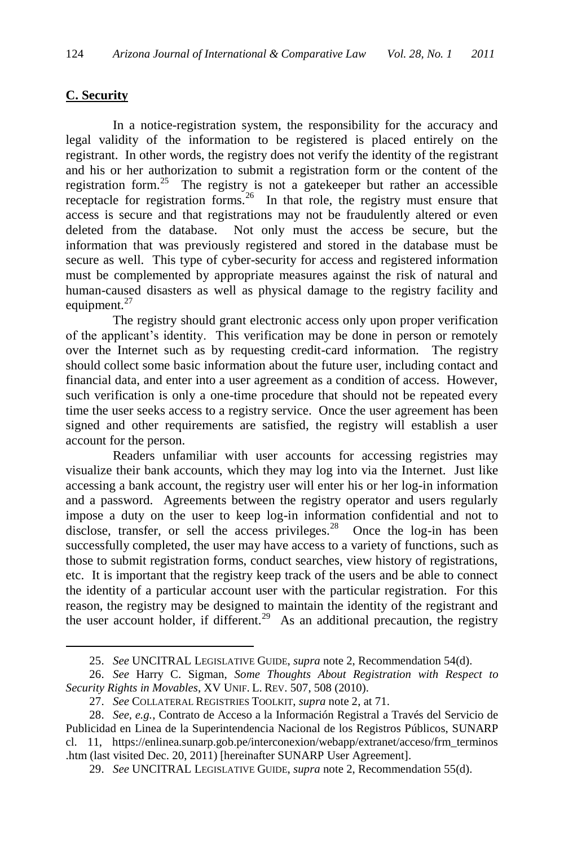# **C. Security**

 $\overline{a}$ 

In a notice-registration system, the responsibility for the accuracy and legal validity of the information to be registered is placed entirely on the registrant. In other words, the registry does not verify the identity of the registrant and his or her authorization to submit a registration form or the content of the registration form.<sup>25</sup> The registry is not a gatekeeper but rather an accessible receptacle for registration forms.<sup>26</sup> In that role, the registry must ensure that access is secure and that registrations may not be fraudulently altered or even deleted from the database. Not only must the access be secure, but the information that was previously registered and stored in the database must be secure as well. This type of cyber-security for access and registered information must be complemented by appropriate measures against the risk of natural and human-caused disasters as well as physical damage to the registry facility and equipment.<sup>27</sup>

The registry should grant electronic access only upon proper verification of the applicant's identity. This verification may be done in person or remotely over the Internet such as by requesting credit-card information. The registry should collect some basic information about the future user, including contact and financial data, and enter into a user agreement as a condition of access. However, such verification is only a one-time procedure that should not be repeated every time the user seeks access to a registry service. Once the user agreement has been signed and other requirements are satisfied, the registry will establish a user account for the person.

Readers unfamiliar with user accounts for accessing registries may visualize their bank accounts, which they may log into via the Internet. Just like accessing a bank account, the registry user will enter his or her log-in information and a password. Agreements between the registry operator and users regularly impose a duty on the user to keep log-in information confidential and not to disclose, transfer, or sell the access privileges.<sup>28</sup> Once the log-in has been successfully completed, the user may have access to a variety of functions, such as those to submit registration forms, conduct searches, view history of registrations, etc. It is important that the registry keep track of the users and be able to connect the identity of a particular account user with the particular registration. For this reason, the registry may be designed to maintain the identity of the registrant and the user account holder, if different.<sup>29</sup> As an additional precaution, the registry

<sup>25.</sup> *See* UNCITRAL LEGISLATIVE GUIDE, *supra* note 2, Recommendation 54(d).

<sup>26.</sup> *See* Harry C. Sigman, *Some Thoughts About Registration with Respect to Security Rights in Movables*, XV UNIF. L. REV. 507, 508 (2010).

<sup>27.</sup> *See* COLLATERAL REGISTRIES TOOLKIT, *supra* note 2, at 71.

<sup>28.</sup> *See, e.g.*, Contrato de Acceso a la Información Registral a Través del Servicio de Publicidad en Linea de la Superintendencia Nacional de los Registros Públicos, SUNARP cl. 11, https://enlinea.sunarp.gob.pe/interconexion/webapp/extranet/acceso/frm\_terminos .htm (last visited Dec. 20, 2011) [hereinafter SUNARP User Agreement].

<sup>29.</sup> *See* UNCITRAL LEGISLATIVE GUIDE, *supra* note 2, Recommendation 55(d).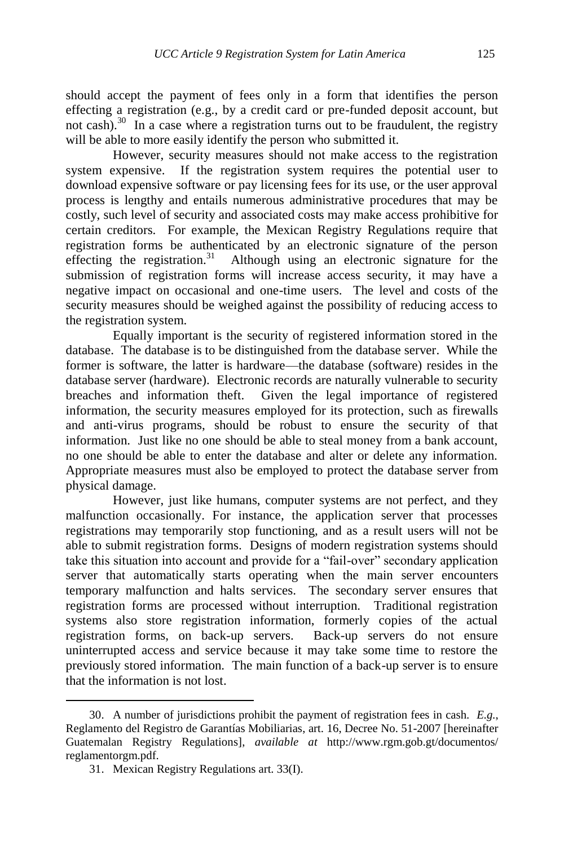should accept the payment of fees only in a form that identifies the person effecting a registration (e.g., by a credit card or pre-funded deposit account, but not cash).<sup>30</sup> In a case where a registration turns out to be fraudulent, the registry will be able to more easily identify the person who submitted it.

However, security measures should not make access to the registration system expensive. If the registration system requires the potential user to download expensive software or pay licensing fees for its use, or the user approval process is lengthy and entails numerous administrative procedures that may be costly, such level of security and associated costs may make access prohibitive for certain creditors. For example, the Mexican Registry Regulations require that registration forms be authenticated by an electronic signature of the person effecting the registration.<sup>31</sup> Although using an electronic signature for the submission of registration forms will increase access security, it may have a negative impact on occasional and one-time users. The level and costs of the security measures should be weighed against the possibility of reducing access to the registration system.

Equally important is the security of registered information stored in the database. The database is to be distinguished from the database server. While the former is software, the latter is hardware—the database (software) resides in the database server (hardware). Electronic records are naturally vulnerable to security breaches and information theft. Given the legal importance of registered information, the security measures employed for its protection, such as firewalls and anti-virus programs, should be robust to ensure the security of that information. Just like no one should be able to steal money from a bank account, no one should be able to enter the database and alter or delete any information. Appropriate measures must also be employed to protect the database server from physical damage.

However, just like humans, computer systems are not perfect, and they malfunction occasionally. For instance, the application server that processes registrations may temporarily stop functioning, and as a result users will not be able to submit registration forms. Designs of modern registration systems should take this situation into account and provide for a "fail-over" secondary application server that automatically starts operating when the main server encounters temporary malfunction and halts services. The secondary server ensures that registration forms are processed without interruption. Traditional registration systems also store registration information, formerly copies of the actual registration forms, on back-up servers. Back-up servers do not ensure uninterrupted access and service because it may take some time to restore the previously stored information. The main function of a back-up server is to ensure that the information is not lost.

<sup>30.</sup> A number of jurisdictions prohibit the payment of registration fees in cash. *E.g.*, Reglamento del Registro de Garantías Mobiliarias, art. 16, Decree No. 51-2007 [hereinafter Guatemalan Registry Regulations], *available at* <http://www.rgm.gob.gt/documentos/> reglamentorgm.pdf.

<sup>31.</sup> Mexican Registry Regulations art. 33(I).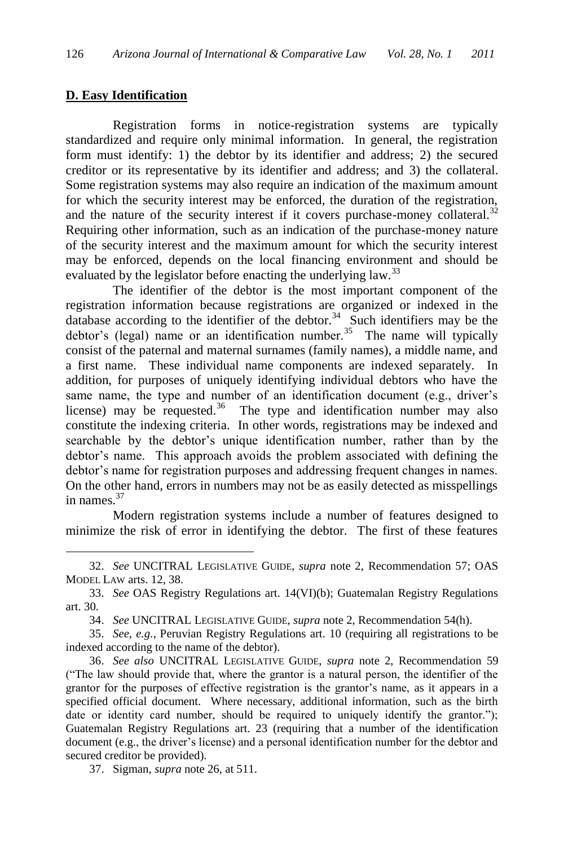# **D. Easy Identification**

Registration forms in notice-registration systems are typically standardized and require only minimal information. In general, the registration form must identify: 1) the debtor by its identifier and address; 2) the secured creditor or its representative by its identifier and address; and 3) the collateral. Some registration systems may also require an indication of the maximum amount for which the security interest may be enforced, the duration of the registration, and the nature of the security interest if it covers purchase-money collateral. $32$ Requiring other information, such as an indication of the purchase-money nature of the security interest and the maximum amount for which the security interest may be enforced, depends on the local financing environment and should be evaluated by the legislator before enacting the underlying law.<sup>33</sup>

The identifier of the debtor is the most important component of the registration information because registrations are organized or indexed in the database according to the identifier of the debtor.<sup>34</sup> Such identifiers may be the debtor's (legal) name or an identification number.<sup>35</sup> The name will typically consist of the paternal and maternal surnames (family names), a middle name, and a first name. These individual name components are indexed separately. In addition, for purposes of uniquely identifying individual debtors who have the same name, the type and number of an identification document (e.g., driver's license) may be requested.<sup>36</sup> The type and identification number may also constitute the indexing criteria. In other words, registrations may be indexed and searchable by the debtor's unique identification number, rather than by the debtor's name. This approach avoids the problem associated with defining the debtor's name for registration purposes and addressing frequent changes in names. On the other hand, errors in numbers may not be as easily detected as misspellings in names.<sup>37</sup>

Modern registration systems include a number of features designed to minimize the risk of error in identifying the debtor. The first of these features

37. Sigman, *supra* note 26, at 511.

<sup>32.</sup> *See* UNCITRAL LEGISLATIVE GUIDE, *supra* note 2, Recommendation 57; OAS MODEL LAW arts. 12, 38.

<sup>33.</sup> *See* OAS Registry Regulations art. 14(VI)(b); Guatemalan Registry Regulations art. 30.

<sup>34.</sup> *See* UNCITRAL LEGISLATIVE GUIDE, *supra* note 2, Recommendation 54(h).

<sup>35.</sup> *See, e.g.*, Peruvian Registry Regulations art. 10 (requiring all registrations to be indexed according to the name of the debtor).

<sup>36.</sup> *See also* UNCITRAL LEGISLATIVE GUIDE, *supra* note 2, Recommendation 59 (―The law should provide that, where the grantor is a natural person, the identifier of the grantor for the purposes of effective registration is the grantor's name, as it appears in a specified official document. Where necessary, additional information, such as the birth date or identity card number, should be required to uniquely identify the grantor."); Guatemalan Registry Regulations art. 23 (requiring that a number of the identification document (e.g., the driver's license) and a personal identification number for the debtor and secured creditor be provided).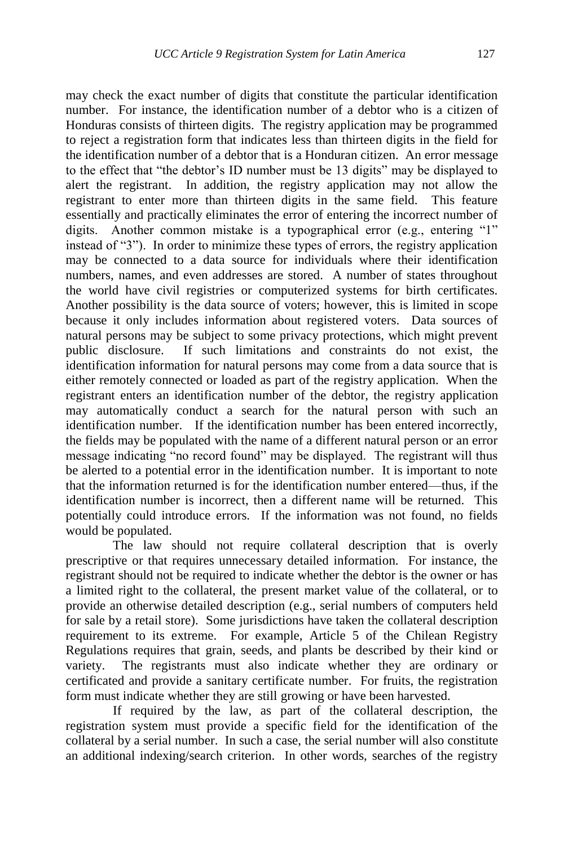may check the exact number of digits that constitute the particular identification number. For instance, the identification number of a debtor who is a citizen of Honduras consists of thirteen digits. The registry application may be programmed to reject a registration form that indicates less than thirteen digits in the field for the identification number of a debtor that is a Honduran citizen. An error message to the effect that "the debtor's ID number must be 13 digits" may be displayed to alert the registrant. In addition, the registry application may not allow the registrant to enter more than thirteen digits in the same field. This feature essentially and practically eliminates the error of entering the incorrect number of digits. Another common mistake is a typographical error  $(e.g.,$  entering " $l$ " instead of "3"). In order to minimize these types of errors, the registry application may be connected to a data source for individuals where their identification numbers, names, and even addresses are stored. A number of states throughout the world have civil registries or computerized systems for birth certificates. Another possibility is the data source of voters; however, this is limited in scope because it only includes information about registered voters. Data sources of natural persons may be subject to some privacy protections, which might prevent public disclosure. If such limitations and constraints do not exist, the identification information for natural persons may come from a data source that is either remotely connected or loaded as part of the registry application. When the registrant enters an identification number of the debtor, the registry application may automatically conduct a search for the natural person with such an identification number. If the identification number has been entered incorrectly, the fields may be populated with the name of a different natural person or an error message indicating "no record found" may be displayed. The registrant will thus be alerted to a potential error in the identification number. It is important to note that the information returned is for the identification number entered—thus, if the identification number is incorrect, then a different name will be returned. This potentially could introduce errors. If the information was not found, no fields would be populated.

The law should not require collateral description that is overly prescriptive or that requires unnecessary detailed information. For instance, the registrant should not be required to indicate whether the debtor is the owner or has a limited right to the collateral, the present market value of the collateral, or to provide an otherwise detailed description (e.g., serial numbers of computers held for sale by a retail store). Some jurisdictions have taken the collateral description requirement to its extreme. For example, Article 5 of the Chilean Registry Regulations requires that grain, seeds, and plants be described by their kind or variety. The registrants must also indicate whether they are ordinary or certificated and provide a sanitary certificate number. For fruits, the registration form must indicate whether they are still growing or have been harvested.

If required by the law, as part of the collateral description, the registration system must provide a specific field for the identification of the collateral by a serial number. In such a case, the serial number will also constitute an additional indexing/search criterion. In other words, searches of the registry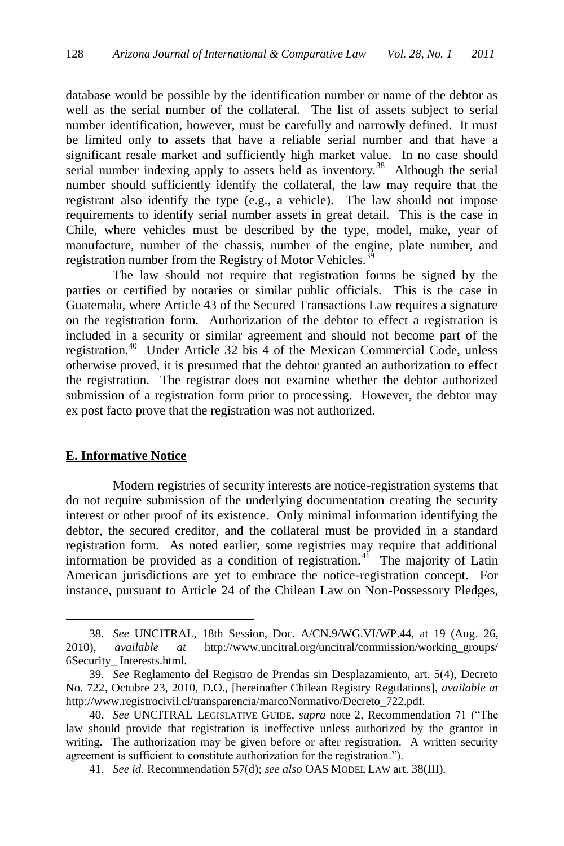database would be possible by the identification number or name of the debtor as well as the serial number of the collateral. The list of assets subject to serial number identification, however, must be carefully and narrowly defined. It must be limited only to assets that have a reliable serial number and that have a significant resale market and sufficiently high market value. In no case should serial number indexing apply to assets held as inventory.<sup>38</sup> Although the serial number should sufficiently identify the collateral, the law may require that the registrant also identify the type (e.g., a vehicle). The law should not impose requirements to identify serial number assets in great detail. This is the case in Chile, where vehicles must be described by the type, model, make, year of manufacture, number of the chassis, number of the engine, plate number, and registration number from the Registry of Motor Vehicles.<sup>3</sup>

The law should not require that registration forms be signed by the parties or certified by notaries or similar public officials. This is the case in Guatemala, where Article 43 of the Secured Transactions Law requires a signature on the registration form. Authorization of the debtor to effect a registration is included in a security or similar agreement and should not become part of the registration.<sup>40</sup> Under Article 32 bis 4 of the Mexican Commercial Code, unless otherwise proved, it is presumed that the debtor granted an authorization to effect the registration. The registrar does not examine whether the debtor authorized submission of a registration form prior to processing. However, the debtor may ex post facto prove that the registration was not authorized.

### **E. Informative Notice**

 $\overline{a}$ 

Modern registries of security interests are notice-registration systems that do not require submission of the underlying documentation creating the security interest or other proof of its existence. Only minimal information identifying the debtor, the secured creditor, and the collateral must be provided in a standard registration form. As noted earlier, some registries may require that additional information be provided as a condition of registration.<sup>41</sup> The majority of Latin American jurisdictions are yet to embrace the notice-registration concept. For instance, pursuant to Article 24 of the Chilean Law on Non-Possessory Pledges,

<sup>38.</sup> *See* UNCITRAL, 18th Session, Doc. A/CN.9/WG.VI/WP.44, at 19 (Aug. 26, 2010), *available at* http://www.uncitral.org/uncitral/commission/working\_groups/ 6Security\_ Interests.html.

<sup>39.</sup> *See* Reglamento del Registro de Prendas sin Desplazamiento, art. 5(4), Decreto No. 722, Octubre 23, 2010, D.O., [hereinafter Chilean Registry Regulations], *available at* http://www.registrocivil.cl/transparencia/marcoNormativo/Decreto\_722.pdf.

<sup>40.</sup> *See* UNCITRAL LEGISLATIVE GUIDE, *supra* note 2, Recommendation 71 ("The law should provide that registration is ineffective unless authorized by the grantor in writing. The authorization may be given before or after registration. A written security agreement is sufficient to constitute authorization for the registration.").

<sup>41.</sup> *See id.* Recommendation 57(d); *see also* OAS MODEL LAW art. 38(III).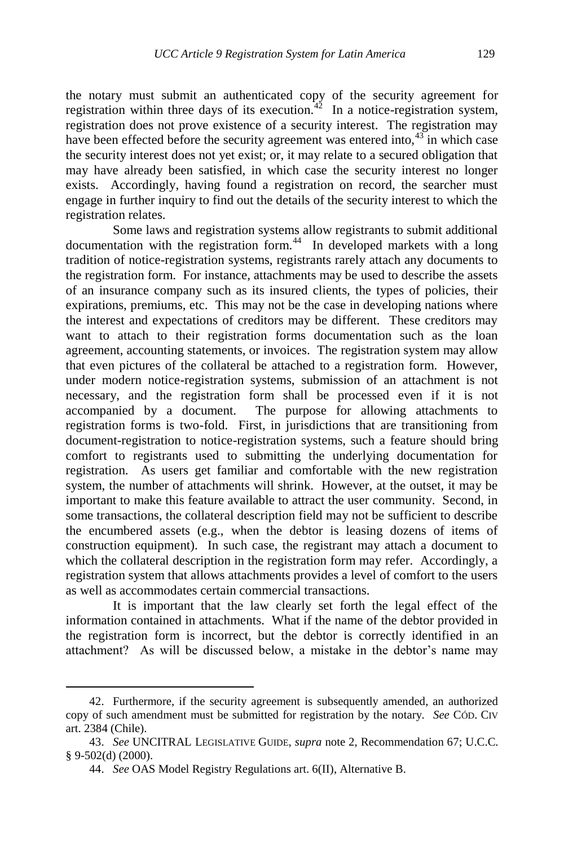the notary must submit an authenticated copy of the security agreement for registration within three days of its execution.<sup>42</sup> In a notice-registration system, registration does not prove existence of a security interest. The registration may have been effected before the security agreement was entered into,  $43$  in which case the security interest does not yet exist; or, it may relate to a secured obligation that may have already been satisfied, in which case the security interest no longer exists. Accordingly, having found a registration on record, the searcher must engage in further inquiry to find out the details of the security interest to which the registration relates.

Some laws and registration systems allow registrants to submit additional documentation with the registration form.<sup>44</sup> In developed markets with a long tradition of notice-registration systems, registrants rarely attach any documents to the registration form. For instance, attachments may be used to describe the assets of an insurance company such as its insured clients, the types of policies, their expirations, premiums, etc. This may not be the case in developing nations where the interest and expectations of creditors may be different. These creditors may want to attach to their registration forms documentation such as the loan agreement, accounting statements, or invoices. The registration system may allow that even pictures of the collateral be attached to a registration form. However, under modern notice-registration systems, submission of an attachment is not necessary, and the registration form shall be processed even if it is not accompanied by a document. The purpose for allowing attachments to registration forms is two-fold. First, in jurisdictions that are transitioning from document-registration to notice-registration systems, such a feature should bring comfort to registrants used to submitting the underlying documentation for registration. As users get familiar and comfortable with the new registration system, the number of attachments will shrink. However, at the outset, it may be important to make this feature available to attract the user community. Second, in some transactions, the collateral description field may not be sufficient to describe the encumbered assets (e.g., when the debtor is leasing dozens of items of construction equipment). In such case, the registrant may attach a document to which the collateral description in the registration form may refer. Accordingly, a registration system that allows attachments provides a level of comfort to the users as well as accommodates certain commercial transactions.

It is important that the law clearly set forth the legal effect of the information contained in attachments. What if the name of the debtor provided in the registration form is incorrect, but the debtor is correctly identified in an attachment? As will be discussed below, a mistake in the debtor's name may

<sup>42.</sup> Furthermore, if the security agreement is subsequently amended, an authorized copy of such amendment must be submitted for registration by the notary. *See* CÓD. CIV art. 2384 (Chile).

<sup>43.</sup> *See* UNCITRAL LEGISLATIVE GUIDE, *supra* note 2, Recommendation 67; U.C.C. § 9-502(d) (2000).

<sup>44.</sup> *See* OAS Model Registry Regulations art. 6(II), Alternative B.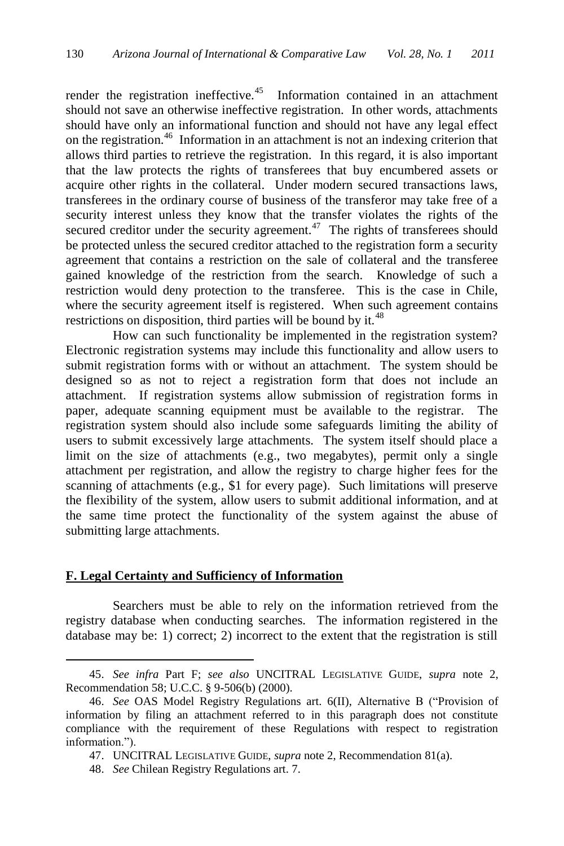render the registration ineffective.<sup>45</sup> Information contained in an attachment should not save an otherwise ineffective registration. In other words, attachments should have only an informational function and should not have any legal effect on the registration.<sup>46</sup> Information in an attachment is not an indexing criterion that allows third parties to retrieve the registration. In this regard, it is also important that the law protects the rights of transferees that buy encumbered assets or acquire other rights in the collateral. Under modern secured transactions laws, transferees in the ordinary course of business of the transferor may take free of a security interest unless they know that the transfer violates the rights of the secured creditor under the security agreement. $47$  The rights of transferees should be protected unless the secured creditor attached to the registration form a security agreement that contains a restriction on the sale of collateral and the transferee gained knowledge of the restriction from the search. Knowledge of such a restriction would deny protection to the transferee. This is the case in Chile, where the security agreement itself is registered. When such agreement contains restrictions on disposition, third parties will be bound by it.<sup>48</sup>

How can such functionality be implemented in the registration system? Electronic registration systems may include this functionality and allow users to submit registration forms with or without an attachment. The system should be designed so as not to reject a registration form that does not include an attachment. If registration systems allow submission of registration forms in paper, adequate scanning equipment must be available to the registrar. The registration system should also include some safeguards limiting the ability of users to submit excessively large attachments. The system itself should place a limit on the size of attachments (e.g., two megabytes), permit only a single attachment per registration, and allow the registry to charge higher fees for the scanning of attachments (e.g., \$1 for every page). Such limitations will preserve the flexibility of the system, allow users to submit additional information, and at the same time protect the functionality of the system against the abuse of submitting large attachments.

#### **F. Legal Certainty and Sufficiency of Information**

Searchers must be able to rely on the information retrieved from the registry database when conducting searches. The information registered in the database may be: 1) correct; 2) incorrect to the extent that the registration is still

<sup>45.</sup> *See infra* Part F; *see also* UNCITRAL LEGISLATIVE GUIDE, *supra* note 2, Recommendation 58; U.C.C. § 9-506(b) (2000).

<sup>46.</sup> *See* OAS Model Registry Regulations art. 6(II), Alternative B ("Provision of information by filing an attachment referred to in this paragraph does not constitute compliance with the requirement of these Regulations with respect to registration information.").

<sup>47.</sup> UNCITRAL LEGISLATIVE GUIDE, *supra* note 2, Recommendation 81(a).

<sup>48.</sup> *See* Chilean Registry Regulations art. 7.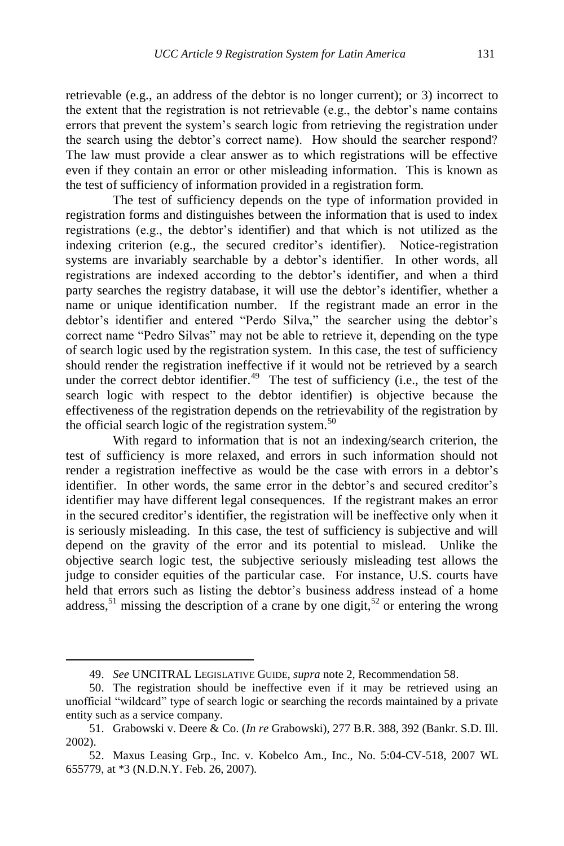retrievable (e.g., an address of the debtor is no longer current); or 3) incorrect to the extent that the registration is not retrievable (e.g., the debtor's name contains errors that prevent the system's search logic from retrieving the registration under the search using the debtor's correct name). How should the searcher respond? The law must provide a clear answer as to which registrations will be effective even if they contain an error or other misleading information. This is known as the test of sufficiency of information provided in a registration form.

The test of sufficiency depends on the type of information provided in registration forms and distinguishes between the information that is used to index registrations (e.g., the debtor's identifier) and that which is not utilized as the indexing criterion (e.g., the secured creditor's identifier). Notice-registration systems are invariably searchable by a debtor's identifier. In other words, all registrations are indexed according to the debtor's identifier, and when a third party searches the registry database, it will use the debtor's identifier, whether a name or unique identification number. If the registrant made an error in the debtor's identifier and entered "Perdo Silva," the searcher using the debtor's correct name "Pedro Silvas" may not be able to retrieve it, depending on the type of search logic used by the registration system. In this case, the test of sufficiency should render the registration ineffective if it would not be retrieved by a search under the correct debtor identifier. $49$  The test of sufficiency (i.e., the test of the search logic with respect to the debtor identifier) is objective because the effectiveness of the registration depends on the retrievability of the registration by the official search logic of the registration system. $50$ 

With regard to information that is not an indexing/search criterion, the test of sufficiency is more relaxed, and errors in such information should not render a registration ineffective as would be the case with errors in a debtor's identifier. In other words, the same error in the debtor's and secured creditor's identifier may have different legal consequences. If the registrant makes an error in the secured creditor's identifier, the registration will be ineffective only when it is seriously misleading. In this case, the test of sufficiency is subjective and will depend on the gravity of the error and its potential to mislead. Unlike the objective search logic test, the subjective seriously misleading test allows the judge to consider equities of the particular case. For instance, U.S. courts have held that errors such as listing the debtor's business address instead of a home address,<sup>51</sup> missing the description of a crane by one digit,<sup>52</sup> or entering the wrong

<sup>49.</sup> *See* UNCITRAL LEGISLATIVE GUIDE, *supra* note 2, Recommendation 58.

<sup>50.</sup> The registration should be ineffective even if it may be retrieved using an unofficial "wildcard" type of search logic or searching the records maintained by a private entity such as a service company.

<sup>51.</sup> Grabowski v. Deere & Co. (*In re* Grabowski), 277 B.R. 388, 392 (Bankr. S.D. Ill. 2002).

<sup>52.</sup> Maxus Leasing Grp., Inc. v. Kobelco Am., Inc., No. 5:04-CV-518, 2007 WL 655779, at \*3 (N.D.N.Y. Feb. 26, 2007).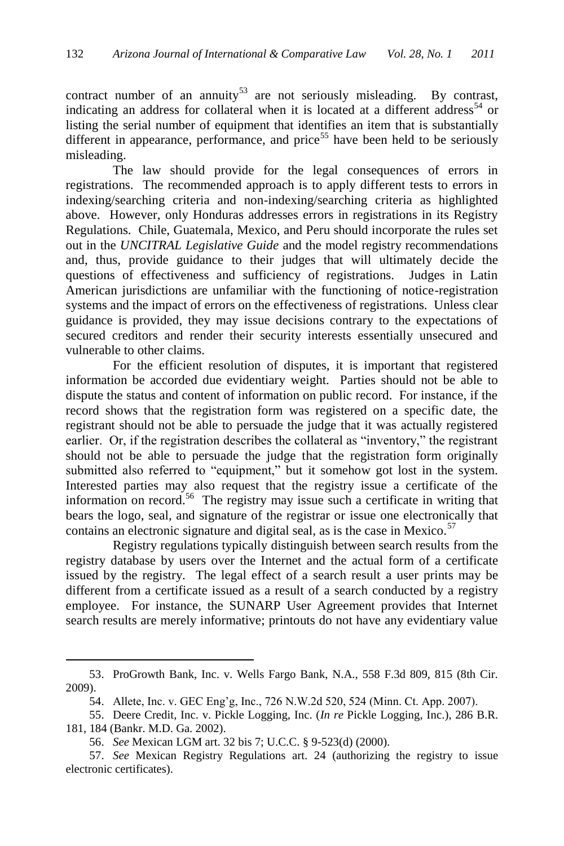contract number of an annuity<sup>53</sup> are not seriously misleading. By contrast, indicating an address for collateral when it is located at a different address<sup>54</sup> or listing the serial number of equipment that identifies an item that is substantially different in appearance, performance, and price<sup>55</sup> have been held to be seriously misleading.

The law should provide for the legal consequences of errors in registrations. The recommended approach is to apply different tests to errors in indexing/searching criteria and non-indexing/searching criteria as highlighted above. However, only Honduras addresses errors in registrations in its Registry Regulations. Chile, Guatemala, Mexico, and Peru should incorporate the rules set out in the *UNCITRAL Legislative Guide* and the model registry recommendations and, thus, provide guidance to their judges that will ultimately decide the questions of effectiveness and sufficiency of registrations. Judges in Latin American jurisdictions are unfamiliar with the functioning of notice-registration systems and the impact of errors on the effectiveness of registrations. Unless clear guidance is provided, they may issue decisions contrary to the expectations of secured creditors and render their security interests essentially unsecured and vulnerable to other claims.

For the efficient resolution of disputes, it is important that registered information be accorded due evidentiary weight. Parties should not be able to dispute the status and content of information on public record. For instance, if the record shows that the registration form was registered on a specific date, the registrant should not be able to persuade the judge that it was actually registered earlier. Or, if the registration describes the collateral as "inventory," the registrant should not be able to persuade the judge that the registration form originally submitted also referred to "equipment," but it somehow got lost in the system. Interested parties may also request that the registry issue a certificate of the information on record.<sup>56</sup> The registry may issue such a certificate in writing that bears the logo, seal, and signature of the registrar or issue one electronically that contains an electronic signature and digital seal, as is the case in Mexico.<sup>57</sup>

Registry regulations typically distinguish between search results from the registry database by users over the Internet and the actual form of a certificate issued by the registry. The legal effect of a search result a user prints may be different from a certificate issued as a result of a search conducted by a registry employee. For instance, the SUNARP User Agreement provides that Internet search results are merely informative; printouts do not have any evidentiary value

<sup>53.</sup> ProGrowth Bank, Inc. v. Wells Fargo Bank, N.A., 558 F.3d 809, 815 (8th Cir. 2009).

<sup>54.</sup> Allete, Inc. v. GEC Eng'g, Inc., 726 N.W.2d 520, 524 (Minn. Ct. App. 2007).

<sup>55.</sup> Deere Credit, Inc. v. Pickle Logging, Inc. (*In re* Pickle Logging, Inc.), 286 B.R. 181, 184 (Bankr. M.D. Ga. 2002).

<sup>56.</sup> *See* Mexican LGM art. 32 bis 7; U.C.C. § 9-523(d) (2000).

<sup>57.</sup> *See* Mexican Registry Regulations art. 24 (authorizing the registry to issue electronic certificates).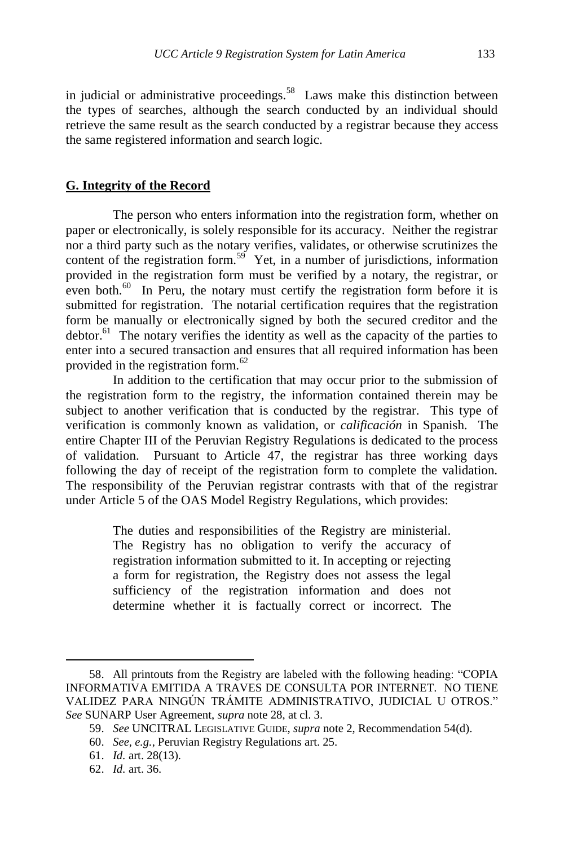in judicial or administrative proceedings.<sup>58</sup> Laws make this distinction between the types of searches, although the search conducted by an individual should retrieve the same result as the search conducted by a registrar because they access the same registered information and search logic.

#### **G. Integrity of the Record**

The person who enters information into the registration form, whether on paper or electronically, is solely responsible for its accuracy. Neither the registrar nor a third party such as the notary verifies, validates, or otherwise scrutinizes the content of the registration form.<sup>59</sup> Yet, in a number of jurisdictions, information provided in the registration form must be verified by a notary, the registrar, or even both. $^{60}$  In Peru, the notary must certify the registration form before it is submitted for registration. The notarial certification requires that the registration form be manually or electronically signed by both the secured creditor and the debtor.<sup>61</sup> The notary verifies the identity as well as the capacity of the parties to enter into a secured transaction and ensures that all required information has been provided in the registration form. $62$ 

In addition to the certification that may occur prior to the submission of the registration form to the registry, the information contained therein may be subject to another verification that is conducted by the registrar. This type of verification is commonly known as validation, or *calificación* in Spanish. The entire Chapter III of the Peruvian Registry Regulations is dedicated to the process of validation. Pursuant to Article 47, the registrar has three working days following the day of receipt of the registration form to complete the validation. The responsibility of the Peruvian registrar contrasts with that of the registrar under Article 5 of the OAS Model Registry Regulations, which provides:

> The duties and responsibilities of the Registry are ministerial. The Registry has no obligation to verify the accuracy of registration information submitted to it. In accepting or rejecting a form for registration, the Registry does not assess the legal sufficiency of the registration information and does not determine whether it is factually correct or incorrect. The

<sup>58.</sup> All printouts from the Registry are labeled with the following heading: "COPIA INFORMATIVA EMITIDA A TRAVES DE CONSULTA POR INTERNET. NO TIENE VALIDEZ PARA NINGÚN TRÁMITE ADMINISTRATIVO, JUDICIAL U OTROS." *See* SUNARP User Agreement, *supra* note 28, at cl. 3.

<sup>59.</sup> *See* UNCITRAL LEGISLATIVE GUIDE, *supra* note 2, Recommendation 54(d).

<sup>60.</sup> *See, e.g.*, Peruvian Registry Regulations art. 25.

<sup>61.</sup> *Id.* art. 28(13).

<sup>62.</sup> *Id.* art. 36.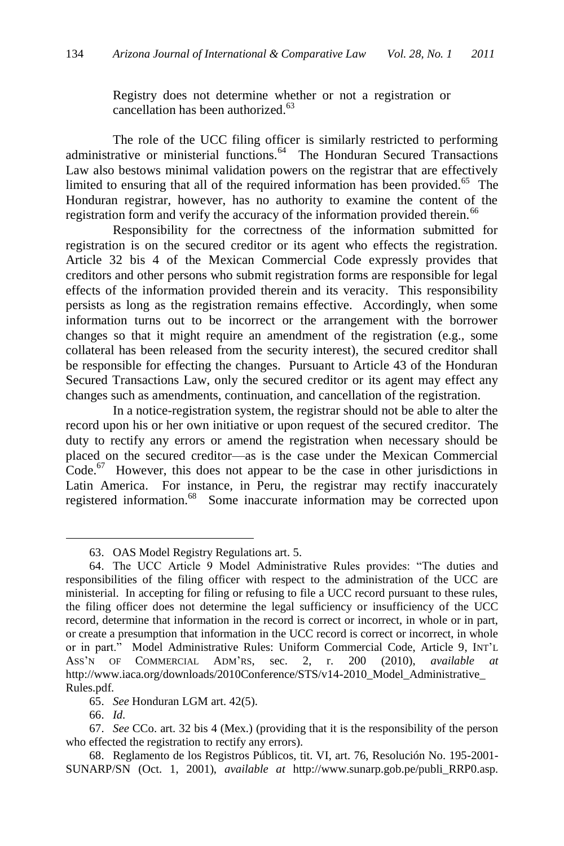Registry does not determine whether or not a registration or cancellation has been authorized.<sup>63</sup>

The role of the UCC filing officer is similarly restricted to performing administrative or ministerial functions.<sup>64</sup> The Honduran Secured Transactions Law also bestows minimal validation powers on the registrar that are effectively limited to ensuring that all of the required information has been provided.<sup>65</sup> The Honduran registrar, however, has no authority to examine the content of the registration form and verify the accuracy of the information provided therein.<sup>66</sup>

Responsibility for the correctness of the information submitted for registration is on the secured creditor or its agent who effects the registration. Article 32 bis 4 of the Mexican Commercial Code expressly provides that creditors and other persons who submit registration forms are responsible for legal effects of the information provided therein and its veracity. This responsibility persists as long as the registration remains effective. Accordingly, when some information turns out to be incorrect or the arrangement with the borrower changes so that it might require an amendment of the registration (e.g., some collateral has been released from the security interest), the secured creditor shall be responsible for effecting the changes. Pursuant to Article 43 of the Honduran Secured Transactions Law, only the secured creditor or its agent may effect any changes such as amendments, continuation, and cancellation of the registration.

In a notice-registration system, the registrar should not be able to alter the record upon his or her own initiative or upon request of the secured creditor. The duty to rectify any errors or amend the registration when necessary should be placed on the secured creditor—as is the case under the Mexican Commercial Code.<sup>67</sup> However, this does not appear to be the case in other jurisdictions in Latin America. For instance, in Peru, the registrar may rectify inaccurately registered information.<sup>68</sup> Some inaccurate information may be corrected upon

<sup>63.</sup> OAS Model Registry Regulations art. 5.

<sup>64.</sup> The UCC Article 9 Model Administrative Rules provides: "The duties and responsibilities of the filing officer with respect to the administration of the UCC are ministerial. In accepting for filing or refusing to file a UCC record pursuant to these rules, the filing officer does not determine the legal sufficiency or insufficiency of the UCC record, determine that information in the record is correct or incorrect, in whole or in part, or create a presumption that information in the UCC record is correct or incorrect, in whole or in part.‖ Model Administrative Rules: Uniform Commercial Code, Article 9, INT'L ASS'N OF COMMERCIAL ADM'RS, sec. 2, r. 200 (2010), *available at* http://www.iaca.org/downloads/2010Conference/STS/v14-2010\_Model\_Administrative\_ Rules.pdf.

<sup>65.</sup> *See* Honduran LGM art. 42(5).

<sup>66.</sup> *Id.*

<sup>67.</sup> *See* CCo. art. 32 bis 4 (Mex.) (providing that it is the responsibility of the person who effected the registration to rectify any errors).

<sup>68.</sup> Reglamento de los Registros Públicos, tit. VI, art. 76, Resolución No. 195-2001- SUNARP/SN (Oct. 1, 2001), *available at* http://www.sunarp.gob.pe/publi\_RRP0.asp.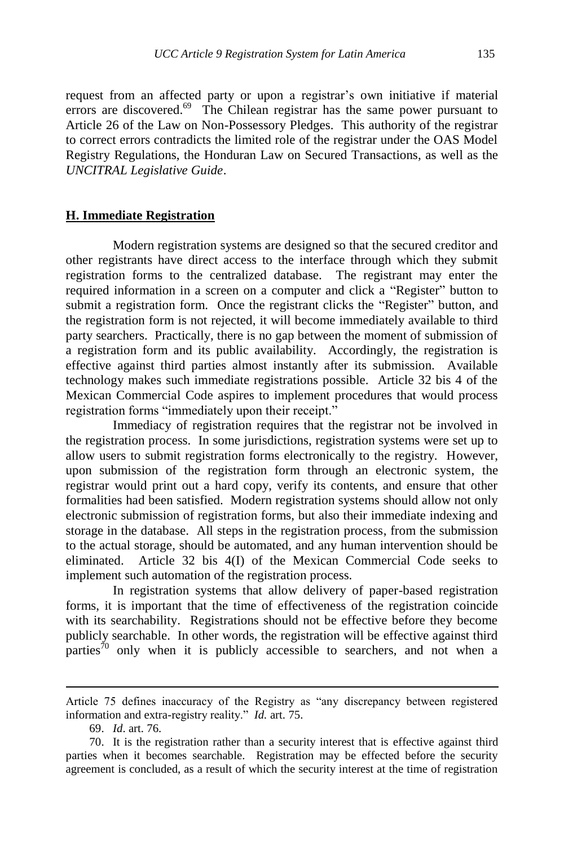request from an affected party or upon a registrar's own initiative if material errors are discovered.<sup>69</sup> The Chilean registrar has the same power pursuant to Article 26 of the Law on Non-Possessory Pledges. This authority of the registrar to correct errors contradicts the limited role of the registrar under the OAS Model Registry Regulations, the Honduran Law on Secured Transactions, as well as the *UNCITRAL Legislative Guide*.

#### **H. Immediate Registration**

Modern registration systems are designed so that the secured creditor and other registrants have direct access to the interface through which they submit registration forms to the centralized database. The registrant may enter the required information in a screen on a computer and click a "Register" button to submit a registration form. Once the registrant clicks the "Register" button, and the registration form is not rejected, it will become immediately available to third party searchers. Practically, there is no gap between the moment of submission of a registration form and its public availability. Accordingly, the registration is effective against third parties almost instantly after its submission. Available technology makes such immediate registrations possible. Article 32 bis 4 of the Mexican Commercial Code aspires to implement procedures that would process registration forms "immediately upon their receipt."

Immediacy of registration requires that the registrar not be involved in the registration process. In some jurisdictions, registration systems were set up to allow users to submit registration forms electronically to the registry. However, upon submission of the registration form through an electronic system, the registrar would print out a hard copy, verify its contents, and ensure that other formalities had been satisfied. Modern registration systems should allow not only electronic submission of registration forms, but also their immediate indexing and storage in the database. All steps in the registration process, from the submission to the actual storage, should be automated, and any human intervention should be eliminated. Article 32 bis 4(I) of the Mexican Commercial Code seeks to implement such automation of the registration process.

In registration systems that allow delivery of paper-based registration forms, it is important that the time of effectiveness of the registration coincide with its searchability. Registrations should not be effective before they become publicly searchable. In other words, the registration will be effective against third parties<sup> $70$ </sup> only when it is publicly accessible to searchers, and not when a

Article 75 defines inaccuracy of the Registry as "any discrepancy between registered information and extra-registry reality." *Id.* art. 75.

<sup>69.</sup> *Id*. art. 76.

<sup>70.</sup> It is the registration rather than a security interest that is effective against third parties when it becomes searchable. Registration may be effected before the security agreement is concluded, as a result of which the security interest at the time of registration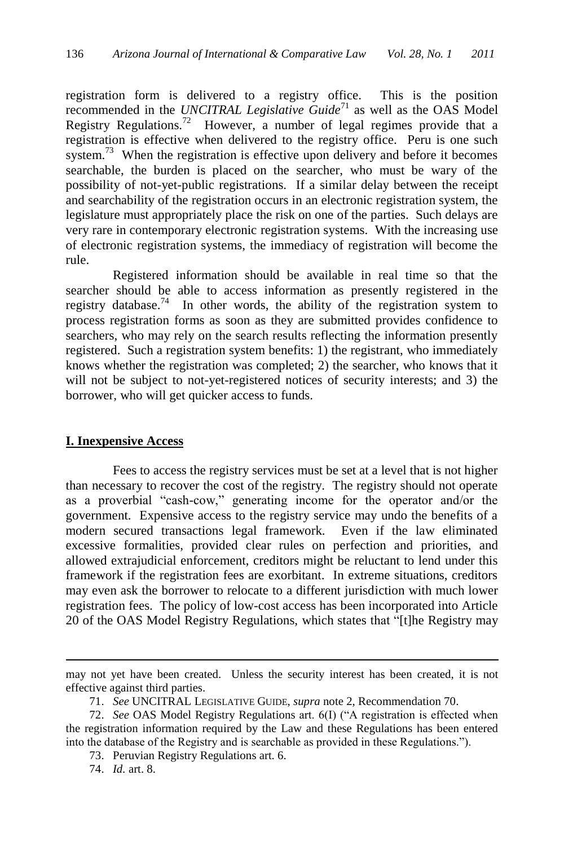registration form is delivered to a registry office. This is the position recommended in the *UNCITRAL Legislative Guide*<sup>71</sup> as well as the OAS Model Registry Regulations.<sup>72</sup> However, a number of legal regimes provide that a registration is effective when delivered to the registry office. Peru is one such system.<sup>73</sup> When the registration is effective upon delivery and before it becomes searchable, the burden is placed on the searcher, who must be wary of the possibility of not-yet-public registrations. If a similar delay between the receipt and searchability of the registration occurs in an electronic registration system, the legislature must appropriately place the risk on one of the parties. Such delays are very rare in contemporary electronic registration systems. With the increasing use of electronic registration systems, the immediacy of registration will become the rule.

Registered information should be available in real time so that the searcher should be able to access information as presently registered in the registry database.<sup>74</sup> In other words, the ability of the registration system to process registration forms as soon as they are submitted provides confidence to searchers, who may rely on the search results reflecting the information presently registered. Such a registration system benefits: 1) the registrant, who immediately knows whether the registration was completed; 2) the searcher, who knows that it will not be subject to not-yet-registered notices of security interests; and 3) the borrower, who will get quicker access to funds.

# **I. Inexpensive Access**

Fees to access the registry services must be set at a level that is not higher than necessary to recover the cost of the registry. The registry should not operate as a proverbial "cash-cow," generating income for the operator and/or the government. Expensive access to the registry service may undo the benefits of a modern secured transactions legal framework. Even if the law eliminated excessive formalities, provided clear rules on perfection and priorities, and allowed extrajudicial enforcement, creditors might be reluctant to lend under this framework if the registration fees are exorbitant. In extreme situations, creditors may even ask the borrower to relocate to a different jurisdiction with much lower registration fees. The policy of low-cost access has been incorporated into Article 20 of the OAS Model Registry Regulations, which states that "[t]he Registry may

may not yet have been created. Unless the security interest has been created, it is not effective against third parties.

<sup>71.</sup> *See* UNCITRAL LEGISLATIVE GUIDE, *supra* note 2, Recommendation 70.

<sup>72.</sup> *See* OAS Model Registry Regulations art. 6(I) ("A registration is effected when the registration information required by the Law and these Regulations has been entered into the database of the Registry and is searchable as provided in these Regulations.").

<sup>73.</sup> Peruvian Registry Regulations art. 6.

<sup>74.</sup> *Id.* art. 8.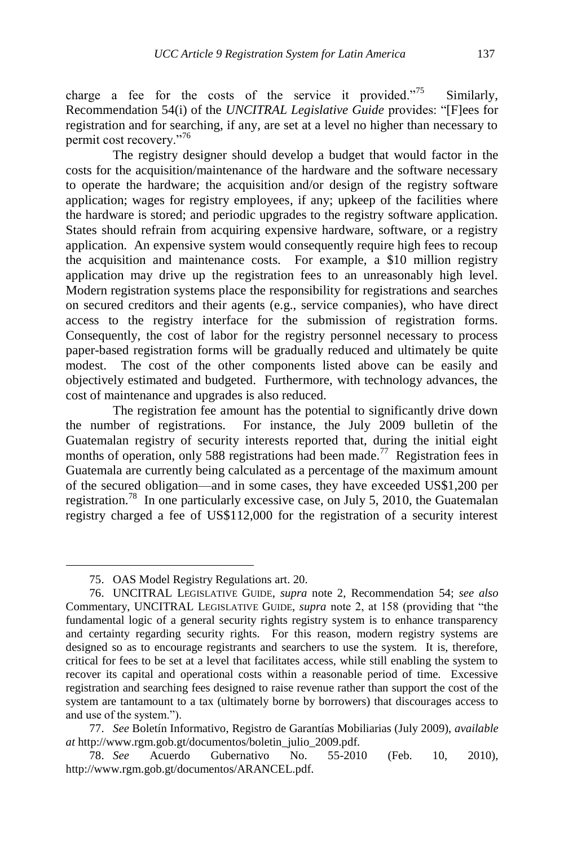charge a fee for the costs of the service it provided."<sup>75</sup> Similarly, Recommendation 54(i) of the *UNCITRAL Legislative Guide* provides: "[F]ees for registration and for searching, if any, are set at a level no higher than necessary to permit cost recovery."<sup>76</sup>

The registry designer should develop a budget that would factor in the costs for the acquisition/maintenance of the hardware and the software necessary to operate the hardware; the acquisition and/or design of the registry software application; wages for registry employees, if any; upkeep of the facilities where the hardware is stored; and periodic upgrades to the registry software application. States should refrain from acquiring expensive hardware, software, or a registry application. An expensive system would consequently require high fees to recoup the acquisition and maintenance costs. For example, a \$10 million registry application may drive up the registration fees to an unreasonably high level. Modern registration systems place the responsibility for registrations and searches on secured creditors and their agents (e.g., service companies), who have direct access to the registry interface for the submission of registration forms. Consequently, the cost of labor for the registry personnel necessary to process paper-based registration forms will be gradually reduced and ultimately be quite modest. The cost of the other components listed above can be easily and objectively estimated and budgeted. Furthermore, with technology advances, the cost of maintenance and upgrades is also reduced.

The registration fee amount has the potential to significantly drive down the number of registrations. For instance, the July 2009 bulletin of the Guatemalan registry of security interests reported that, during the initial eight months of operation, only 588 registrations had been made.<sup>77</sup> Registration fees in Guatemala are currently being calculated as a percentage of the maximum amount of the secured obligation—and in some cases, they have exceeded US\$1,200 per registration.<sup>78</sup> In one particularly excessive case, on July 5, 2010, the Guatemalan registry charged a fee of US\$112,000 for the registration of a security interest

<sup>75.</sup> OAS Model Registry Regulations art. 20.

<sup>76.</sup> UNCITRAL LEGISLATIVE GUIDE, *supra* note 2, Recommendation 54; *see also* Commentary, UNCITRAL LEGISLATIVE GUIDE, *supra* note 2, at 158 (providing that "the fundamental logic of a general security rights registry system is to enhance transparency and certainty regarding security rights. For this reason, modern registry systems are designed so as to encourage registrants and searchers to use the system. It is, therefore, critical for fees to be set at a level that facilitates access, while still enabling the system to recover its capital and operational costs within a reasonable period of time. Excessive registration and searching fees designed to raise revenue rather than support the cost of the system are tantamount to a tax (ultimately borne by borrowers) that discourages access to and use of the system.").

<sup>77.</sup> *See* Boletín Informativo, Registro de Garantías Mobiliarias (July 2009), *available at* http://www.rgm.gob.gt/documentos/boletin\_julio\_2009.pdf.

<sup>78.</sup> *See* Acuerdo Gubernativo No. 55-2010 (Feb. 10, 2010), http://www.rgm.gob.gt/documentos/ARANCEL.pdf.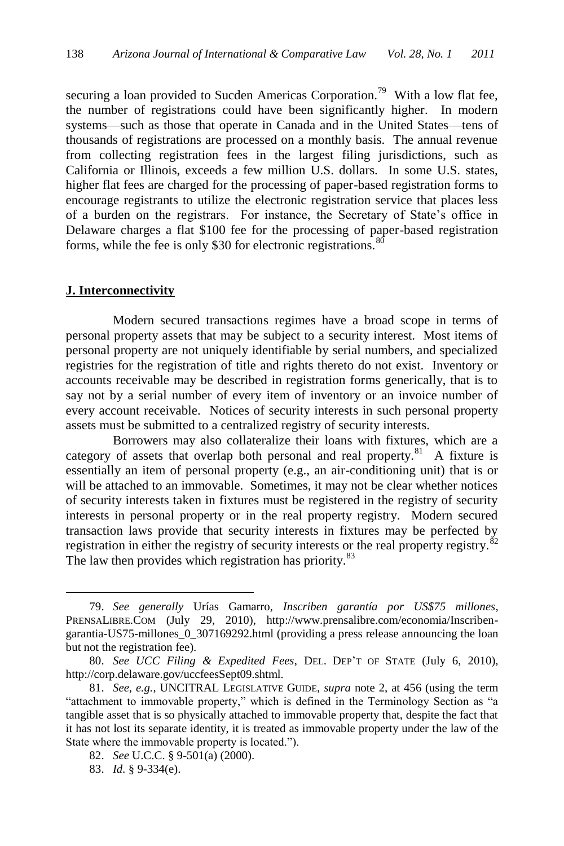securing a loan provided to Sucden Americas Corporation.<sup>79</sup> With a low flat fee, the number of registrations could have been significantly higher. In modern systems—such as those that operate in Canada and in the United States—tens of thousands of registrations are processed on a monthly basis. The annual revenue from collecting registration fees in the largest filing jurisdictions, such as California or Illinois, exceeds a few million U.S. dollars. In some U.S. states, higher flat fees are charged for the processing of paper-based registration forms to encourage registrants to utilize the electronic registration service that places less of a burden on the registrars. For instance, the Secretary of State's office in Delaware charges a flat \$100 fee for the processing of paper-based registration forms, while the fee is only \$30 for electronic registrations.<sup>80</sup>

#### **J. Interconnectivity**

Modern secured transactions regimes have a broad scope in terms of personal property assets that may be subject to a security interest. Most items of personal property are not uniquely identifiable by serial numbers, and specialized registries for the registration of title and rights thereto do not exist. Inventory or accounts receivable may be described in registration forms generically, that is to say not by a serial number of every item of inventory or an invoice number of every account receivable. Notices of security interests in such personal property assets must be submitted to a centralized registry of security interests.

Borrowers may also collateralize their loans with fixtures, which are a category of assets that overlap both personal and real property.<sup>81</sup> A fixture is essentially an item of personal property (e.g., an air-conditioning unit) that is or will be attached to an immovable. Sometimes, it may not be clear whether notices of security interests taken in fixtures must be registered in the registry of security interests in personal property or in the real property registry. Modern secured transaction laws provide that security interests in fixtures may be perfected by registration in either the registry of security interests or the real property registry. $82$ The law then provides which registration has priority.<sup>83</sup>

<sup>79.</sup> *See generally* Urías Gamarro, *Inscriben garantía por US\$75 millones*, PRENSALIBRE.COM (July 29, 2010), http://www.prensalibre.com/economia/Inscribengarantia-US75-millones\_0\_307169292.html (providing a press release announcing the loan but not the registration fee).

<sup>80.</sup> *See UCC Filing & Expedited Fees*, DEL. DEP'T OF STATE (July 6, 2010), http://corp.delaware.gov/uccfeesSept09.shtml.

<sup>81.</sup> *See, e.g.*, UNCITRAL LEGISLATIVE GUIDE, *supra* note 2, at 456 (using the term "attachment to immovable property," which is defined in the Terminology Section as "a tangible asset that is so physically attached to immovable property that, despite the fact that it has not lost its separate identity, it is treated as immovable property under the law of the State where the immovable property is located.").

<sup>82.</sup> *See* U.C.C. § 9-501(a) (2000).

<sup>83.</sup> *Id.* § 9-334(e).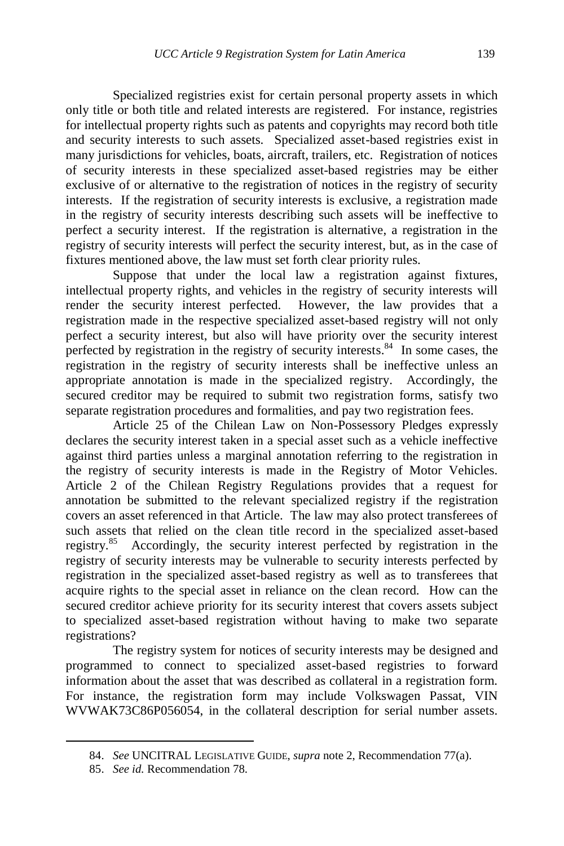Specialized registries exist for certain personal property assets in which only title or both title and related interests are registered. For instance, registries for intellectual property rights such as patents and copyrights may record both title and security interests to such assets. Specialized asset-based registries exist in many jurisdictions for vehicles, boats, aircraft, trailers, etc. Registration of notices of security interests in these specialized asset-based registries may be either exclusive of or alternative to the registration of notices in the registry of security interests. If the registration of security interests is exclusive, a registration made in the registry of security interests describing such assets will be ineffective to perfect a security interest. If the registration is alternative, a registration in the registry of security interests will perfect the security interest, but, as in the case of fixtures mentioned above, the law must set forth clear priority rules.

Suppose that under the local law a registration against fixtures, intellectual property rights, and vehicles in the registry of security interests will render the security interest perfected. However, the law provides that a registration made in the respective specialized asset-based registry will not only perfect a security interest, but also will have priority over the security interest perfected by registration in the registry of security interests.<sup>84</sup> In some cases, the registration in the registry of security interests shall be ineffective unless an appropriate annotation is made in the specialized registry. Accordingly, the secured creditor may be required to submit two registration forms, satisfy two separate registration procedures and formalities, and pay two registration fees.

Article 25 of the Chilean Law on Non-Possessory Pledges expressly declares the security interest taken in a special asset such as a vehicle ineffective against third parties unless a marginal annotation referring to the registration in the registry of security interests is made in the Registry of Motor Vehicles. Article 2 of the Chilean Registry Regulations provides that a request for annotation be submitted to the relevant specialized registry if the registration covers an asset referenced in that Article. The law may also protect transferees of such assets that relied on the clean title record in the specialized asset-based registry.<sup>85</sup> Accordingly, the security interest perfected by registration in the registry of security interests may be vulnerable to security interests perfected by registration in the specialized asset-based registry as well as to transferees that acquire rights to the special asset in reliance on the clean record. How can the secured creditor achieve priority for its security interest that covers assets subject to specialized asset-based registration without having to make two separate registrations?

The registry system for notices of security interests may be designed and programmed to connect to specialized asset-based registries to forward information about the asset that was described as collateral in a registration form. For instance, the registration form may include Volkswagen Passat, VIN WVWAK73C86P056054, in the collateral description for serial number assets.

<sup>84.</sup> *See* UNCITRAL LEGISLATIVE GUIDE, *supra* note 2, Recommendation 77(a).

<sup>85.</sup> *See id.* Recommendation 78.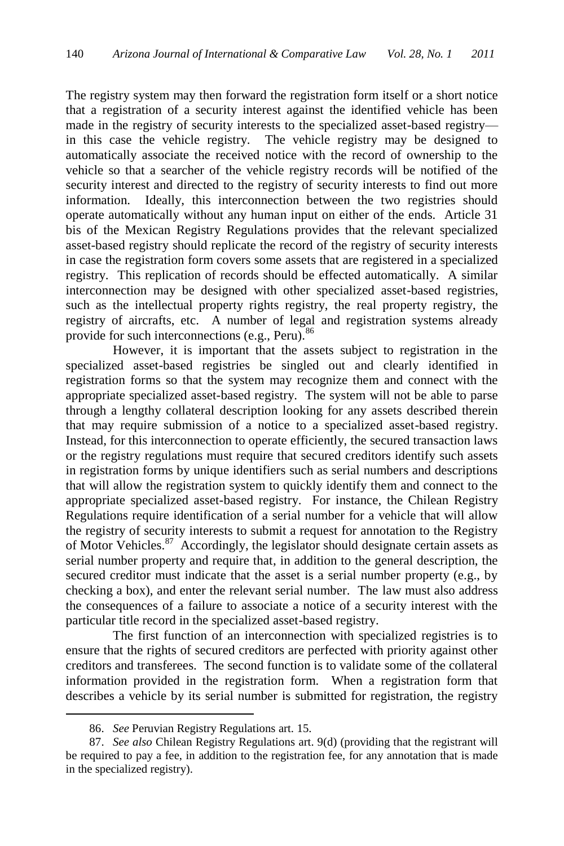The registry system may then forward the registration form itself or a short notice that a registration of a security interest against the identified vehicle has been made in the registry of security interests to the specialized asset-based registry in this case the vehicle registry. The vehicle registry may be designed to automatically associate the received notice with the record of ownership to the vehicle so that a searcher of the vehicle registry records will be notified of the security interest and directed to the registry of security interests to find out more information. Ideally, this interconnection between the two registries should operate automatically without any human input on either of the ends. Article 31 bis of the Mexican Registry Regulations provides that the relevant specialized asset-based registry should replicate the record of the registry of security interests in case the registration form covers some assets that are registered in a specialized registry. This replication of records should be effected automatically. A similar interconnection may be designed with other specialized asset-based registries, such as the intellectual property rights registry, the real property registry, the registry of aircrafts, etc. A number of legal and registration systems already provide for such interconnections (e.g., Peru).<sup>86</sup>

However, it is important that the assets subject to registration in the specialized asset-based registries be singled out and clearly identified in registration forms so that the system may recognize them and connect with the appropriate specialized asset-based registry. The system will not be able to parse through a lengthy collateral description looking for any assets described therein that may require submission of a notice to a specialized asset-based registry. Instead, for this interconnection to operate efficiently, the secured transaction laws or the registry regulations must require that secured creditors identify such assets in registration forms by unique identifiers such as serial numbers and descriptions that will allow the registration system to quickly identify them and connect to the appropriate specialized asset-based registry. For instance, the Chilean Registry Regulations require identification of a serial number for a vehicle that will allow the registry of security interests to submit a request for annotation to the Registry of Motor Vehicles.<sup>87</sup> Accordingly, the legislator should designate certain assets as serial number property and require that, in addition to the general description, the secured creditor must indicate that the asset is a serial number property (e.g., by checking a box), and enter the relevant serial number. The law must also address the consequences of a failure to associate a notice of a security interest with the particular title record in the specialized asset-based registry.

The first function of an interconnection with specialized registries is to ensure that the rights of secured creditors are perfected with priority against other creditors and transferees. The second function is to validate some of the collateral information provided in the registration form. When a registration form that describes a vehicle by its serial number is submitted for registration, the registry

<sup>86.</sup> *See* Peruvian Registry Regulations art. 15.

<sup>87.</sup> *See also* Chilean Registry Regulations art. 9(d) (providing that the registrant will be required to pay a fee, in addition to the registration fee, for any annotation that is made in the specialized registry).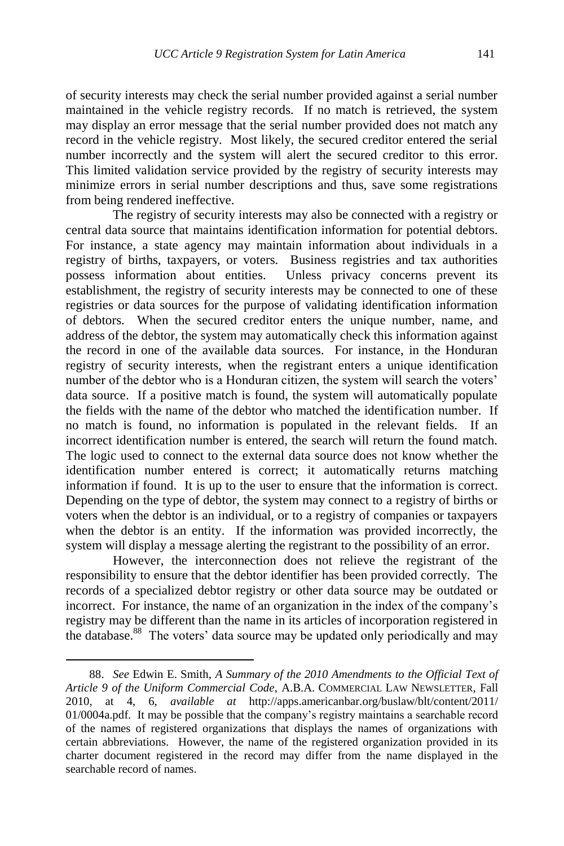of security interests may check the serial number provided against a serial number maintained in the vehicle registry records. If no match is retrieved, the system may display an error message that the serial number provided does not match any record in the vehicle registry. Most likely, the secured creditor entered the serial number incorrectly and the system will alert the secured creditor to this error. This limited validation service provided by the registry of security interests may minimize errors in serial number descriptions and thus, save some registrations from being rendered ineffective.

The registry of security interests may also be connected with a registry or central data source that maintains identification information for potential debtors. For instance, a state agency may maintain information about individuals in a registry of births, taxpayers, or voters. Business registries and tax authorities possess information about entities. Unless privacy concerns prevent its establishment, the registry of security interests may be connected to one of these registries or data sources for the purpose of validating identification information of debtors. When the secured creditor enters the unique number, name, and address of the debtor, the system may automatically check this information against the record in one of the available data sources. For instance, in the Honduran registry of security interests, when the registrant enters a unique identification number of the debtor who is a Honduran citizen, the system will search the voters' data source. If a positive match is found, the system will automatically populate the fields with the name of the debtor who matched the identification number. If no match is found, no information is populated in the relevant fields. If an incorrect identification number is entered, the search will return the found match. The logic used to connect to the external data source does not know whether the identification number entered is correct; it automatically returns matching information if found. It is up to the user to ensure that the information is correct. Depending on the type of debtor, the system may connect to a registry of births or voters when the debtor is an individual, or to a registry of companies or taxpayers when the debtor is an entity. If the information was provided incorrectly, the system will display a message alerting the registrant to the possibility of an error.

However, the interconnection does not relieve the registrant of the responsibility to ensure that the debtor identifier has been provided correctly. The records of a specialized debtor registry or other data source may be outdated or incorrect. For instance, the name of an organization in the index of the company's registry may be different than the name in its articles of incorporation registered in the database.<sup>88</sup> The voters' data source may be updated only periodically and may

<sup>88.</sup> *See* Edwin E. Smith, *A Summary of the 2010 Amendments to the Official Text of Article 9 of the Uniform Commercial Code*, A.B.A. COMMERCIAL LAW NEWSLETTER, Fall 2010, at 4, 6, *available at* http://apps.americanbar.org/buslaw/blt/content/2011/ 01/0004a.pdf. It may be possible that the company's registry maintains a searchable record of the names of registered organizations that displays the names of organizations with certain abbreviations. However, the name of the registered organization provided in its charter document registered in the record may differ from the name displayed in the searchable record of names.